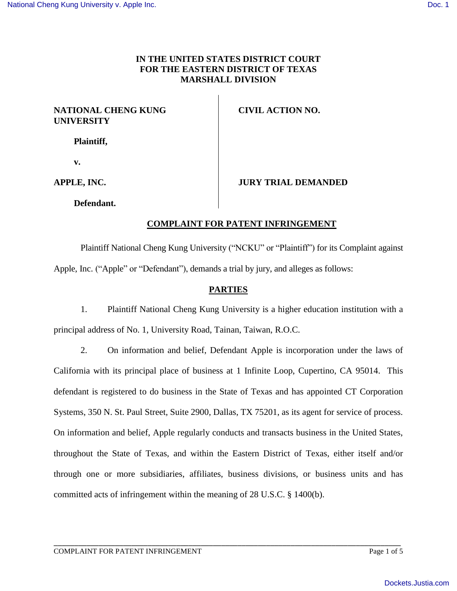### **IN THE UNITED STATES DISTRICT COURT FOR THE EASTERN DISTRICT OF TEXAS MARSHALL DIVISION**

#### **NATIONAL CHENG KUNG UNIVERSITY**

**CIVIL ACTION NO.** 

**Plaintiff,**

**v.**

**APPLE, INC.**

### **JURY TRIAL DEMANDED**

**Defendant.**

# **COMPLAINT FOR PATENT INFRINGEMENT**

Plaintiff National Cheng Kung University ("NCKU" or "Plaintiff") for its Complaint against Apple, Inc. ("Apple" or "Defendant"), demands a trial by jury, and alleges as follows:

## **PARTIES**

1. Plaintiff National Cheng Kung University is a higher education institution with a principal address of No. 1, University Road, Tainan, Taiwan, R.O.C.

2. On information and belief, Defendant Apple is incorporation under the laws of California with its principal place of business at 1 Infinite Loop, Cupertino, CA 95014. This defendant is registered to do business in the State of Texas and has appointed CT Corporation Systems, 350 N. St. Paul Street, Suite 2900, Dallas, TX 75201, as its agent for service of process. On information and belief, Apple regularly conducts and transacts business in the United States, throughout the State of Texas, and within the Eastern District of Texas, either itself and/or through one or more subsidiaries, affiliates, business divisions, or business units and has committed acts of infringement within the meaning of 28 U.S.C. § 1400(b).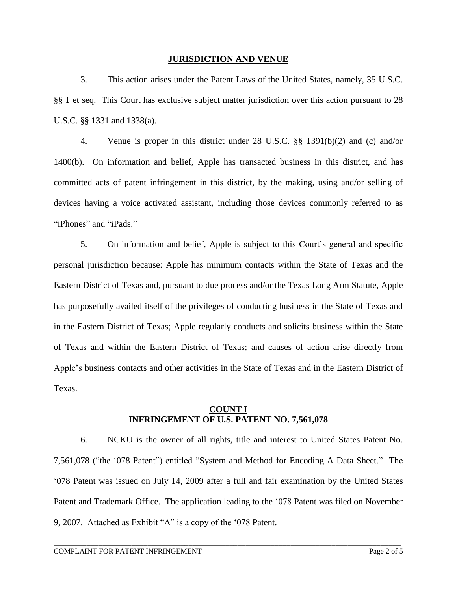#### **JURISDICTION AND VENUE**

3. This action arises under the Patent Laws of the United States, namely, 35 U.S.C. §§ 1 et seq. This Court has exclusive subject matter jurisdiction over this action pursuant to 28 U.S.C. §§ 1331 and 1338(a).

4. Venue is proper in this district under 28 U.S.C. §§ 1391(b)(2) and (c) and/or 1400(b). On information and belief, Apple has transacted business in this district, and has committed acts of patent infringement in this district, by the making, using and/or selling of devices having a voice activated assistant, including those devices commonly referred to as "iPhones" and "iPads."

5. On information and belief, Apple is subject to this Court's general and specific personal jurisdiction because: Apple has minimum contacts within the State of Texas and the Eastern District of Texas and, pursuant to due process and/or the Texas Long Arm Statute, Apple has purposefully availed itself of the privileges of conducting business in the State of Texas and in the Eastern District of Texas; Apple regularly conducts and solicits business within the State of Texas and within the Eastern District of Texas; and causes of action arise directly from Apple's business contacts and other activities in the State of Texas and in the Eastern District of Texas.

#### **COUNT I INFRINGEMENT OF U.S. PATENT NO. 7,561,078**

6. NCKU is the owner of all rights, title and interest to United States Patent No. 7,561,078 ("the '078 Patent") entitled "System and Method for Encoding A Data Sheet." The '078 Patent was issued on July 14, 2009 after a full and fair examination by the United States Patent and Trademark Office. The application leading to the '078 Patent was filed on November 9, 2007. Attached as Exhibit "A" is a copy of the '078 Patent.

\_\_\_\_\_\_\_\_\_\_\_\_\_\_\_\_\_\_\_\_\_\_\_\_\_\_\_\_\_\_\_\_\_\_\_\_\_\_\_\_\_\_\_\_\_\_\_\_\_\_\_\_\_\_\_\_\_\_\_\_\_\_\_\_\_\_\_\_\_\_\_\_\_\_\_\_\_\_\_\_\_\_\_\_\_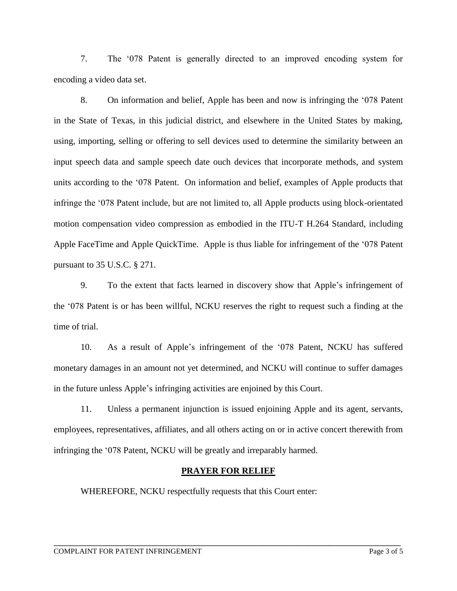7. The '078 Patent is generally directed to an improved encoding system for encoding a video data set.

8. On information and belief, Apple has been and now is infringing the '078 Patent in the State of Texas, in this judicial district, and elsewhere in the United States by making, using, importing, selling or offering to sell devices used to determine the similarity between an input speech data and sample speech date ouch devices that incorporate methods, and system units according to the '078 Patent. On information and belief, examples of Apple products that infringe the '078 Patent include, but are not limited to, all Apple products using block-orientated motion compensation video compression as embodied in the ITU-T H.264 Standard, including Apple FaceTime and Apple QuickTime. Apple is thus liable for infringement of the '078 Patent pursuant to 35 U.S.C. § 271.

9. To the extent that facts learned in discovery show that Apple's infringement of the '078 Patent is or has been willful, NCKU reserves the right to request such a finding at the time of trial.

10. As a result of Apple's infringement of the '078 Patent, NCKU has suffered monetary damages in an amount not yet determined, and NCKU will continue to suffer damages in the future unless Apple's infringing activities are enjoined by this Court.

11. Unless a permanent injunction is issued enjoining Apple and its agent, servants, employees, representatives, affiliates, and all others acting on or in active concert therewith from infringing the '078 Patent, NCKU will be greatly and irreparably harmed.

#### **PRAYER FOR RELIEF**

WHEREFORE, NCKU respectfully requests that this Court enter: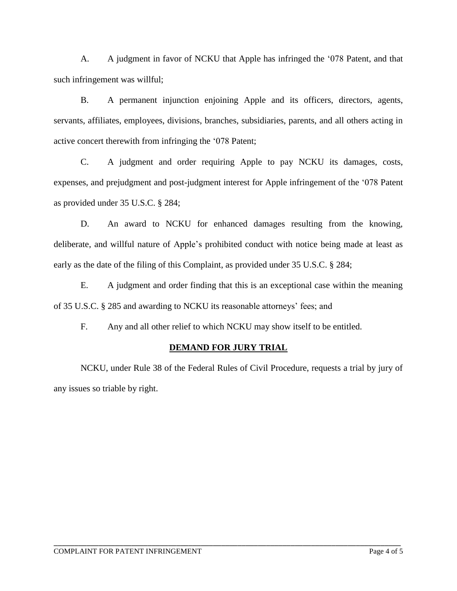A. A judgment in favor of NCKU that Apple has infringed the '078 Patent, and that such infringement was willful;

B. A permanent injunction enjoining Apple and its officers, directors, agents, servants, affiliates, employees, divisions, branches, subsidiaries, parents, and all others acting in active concert therewith from infringing the '078 Patent;

C. A judgment and order requiring Apple to pay NCKU its damages, costs, expenses, and prejudgment and post-judgment interest for Apple infringement of the '078 Patent as provided under 35 U.S.C. § 284;

D. An award to NCKU for enhanced damages resulting from the knowing, deliberate, and willful nature of Apple's prohibited conduct with notice being made at least as early as the date of the filing of this Complaint, as provided under 35 U.S.C. § 284;

E. A judgment and order finding that this is an exceptional case within the meaning of 35 U.S.C. § 285 and awarding to NCKU its reasonable attorneys' fees; and

F. Any and all other relief to which NCKU may show itself to be entitled.

# **DEMAND FOR JURY TRIAL**

NCKU, under Rule 38 of the Federal Rules of Civil Procedure, requests a trial by jury of any issues so triable by right.